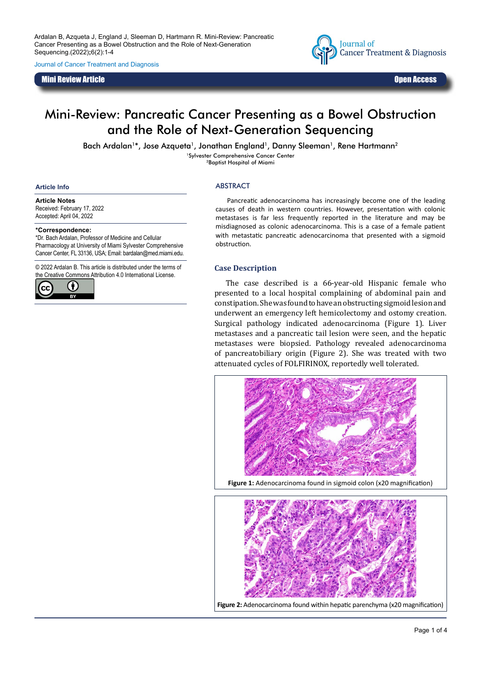Ardalan B, Azqueta J, England J, Sleeman D, Hartmann R. Mini-Review: Pancreatic Cancer Presenting as a Bowel Obstruction and the Role of Next-Generation Sequencing.(2022)**;**6(2):1-4

Journal of Cancer Treatment and Diagnosis

Mini Review Article Open Access



# Mini-Review: Pancreatic Cancer Presenting as a Bowel Obstruction and the Role of Next-Generation Sequencing

Bach Ardalan<sup>1\*</sup>, Jose Azqueta<sup>1</sup>, Jonathan England<sup>1</sup>, Danny Sleeman<sup>1</sup>, Rene Hartmann<sup>2</sup>

1Sylvester Comprehensive Cancer Center 2Baptist Hospital of Miami

#### **Article Info**

#### **Article Notes**

Received: February 17, 2022 Accepted: April 04, 2022

#### **\*Correspondence:**

\*Dr. Bach Ardalan, Professor of Medicine and Cellular Pharmacology at University of Miami Sylvester Comprehensive Cancer Center, FL 33136, USA; Email: bardalan@med.miami.edu.

© 2022 Ardalan B. This article is distributed under the terms of the Creative Commons Attribution 4.0 International License.



#### ABSTRACT

Pancreatic adenocarcinoma has increasingly become one of the leading causes of death in western countries. However, presentation with colonic metastases is far less frequently reported in the literature and may be misdiagnosed as colonic adenocarcinoma. This is a case of a female patient with metastatic pancreatic adenocarcinoma that presented with a sigmoid obstruction.

#### **Case Description**

The case described is a 66-year-old Hispanic female who presented to a local hospital complaining of abdominal pain and constipation. She was found to have an obstructing sigmoid lesion and underwent an emergency left hemicolectomy and ostomy creation. Surgical pathology indicated adenocarcinoma (Figure 1). Liver metastases and a pancreatic tail lesion were seen, and the hepatic metastases were biopsied. Pathology revealed adenocarcinoma of pancreatobiliary origin (Figure 2). She was treated with two attenuated cycles of FOLFIRINOX, reportedly well tolerated.



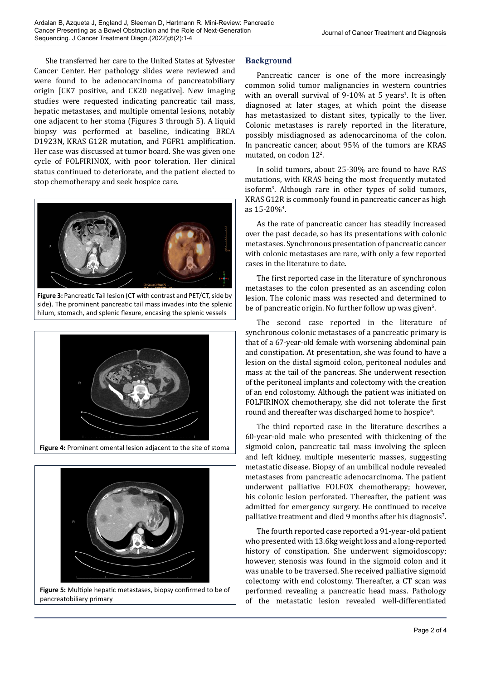She transferred her care to the United States at Sylvester Cancer Center. Her pathology slides were reviewed and were found to be adenocarcinoma of pancreatobiliary origin [CK7 positive, and CK20 negative]. New imaging studies were requested indicating pancreatic tail mass, hepatic metastases, and multiple omental lesions, notably one adjacent to her stoma (Figures 3 through 5). A liquid biopsy was performed at baseline, indicating BRCA D1923N, KRAS G12R mutation, and FGFR1 amplification. Her case was discussed at tumor board. She was given one cycle of FOLFIRINOX, with poor toleration. Her clinical status continued to deteriorate, and the patient elected to stop chemotherapy and seek hospice care.



**Figure 3:** Pancreatic Tail lesion (CT with contrast and PET/CT, side by side). The prominent pancreatic tail mass invades into the splenic hilum, stomach, and splenic flexure, encasing the splenic vessels



**Figure 4:** Prominent omental lesion adjacent to the site of stoma



**Figure 5:** Multiple hepatic metastases, biopsy confirmed to be of pancreatobiliary primary

## **Background**

Pancreatic cancer is one of the more increasingly common solid tumor malignancies in western countries with an overall survival of 9-10% at 5 years<sup>1</sup>. It is often diagnosed at later stages, at which point the disease has metastasized to distant sites, typically to the liver. Colonic metastases is rarely reported in the literature, possibly misdiagnosed as adenocarcinoma of the colon. In pancreatic cancer, about 95% of the tumors are KRAS mutated, on codon 12<sup>2</sup>.

In solid tumors, about 25-30% are found to have RAS mutations, with KRAS being the most frequently mutated isoform3 . Although rare in other types of solid tumors, KRAS G12R is commonly found in pancreatic cancer as high as  $15 - 20\%$ <sup>4</sup>.

As the rate of pancreatic cancer has steadily increased over the past decade, so has its presentations with colonic metastases. Synchronous presentation of pancreatic cancer with colonic metastases are rare, with only a few reported cases in the literature to date.

The first reported case in the literature of synchronous metastases to the colon presented as an ascending colon lesion. The colonic mass was resected and determined to be of pancreatic origin. No further follow up was given<sup>s</sup>.

The second case reported in the literature of synchronous colonic metastases of a pancreatic primary is that of a 67-year-old female with worsening abdominal pain and constipation. At presentation, she was found to have a lesion on the distal sigmoid colon, peritoneal nodules and mass at the tail of the pancreas. She underwent resection of the peritoneal implants and colectomy with the creation of an end colostomy. Although the patient was initiated on FOLFIRINOX chemotherapy, she did not tolerate the first round and thereafter was discharged home to hospice<sup>6</sup>.

The third reported case in the literature describes a 60-year-old male who presented with thickening of the sigmoid colon, pancreatic tail mass involving the spleen and left kidney, multiple mesenteric masses, suggesting metastatic disease. Biopsy of an umbilical nodule revealed metastases from pancreatic adenocarcinoma. The patient underwent palliative FOLFOX chemotherapy; however, his colonic lesion perforated. Thereafter, the patient was admitted for emergency surgery. He continued to receive palliative treatment and died 9 months after his diagnosis7 .

The fourth reported case reported a 91-year-old patient who presented with 13.6kg weight loss and a long-reported history of constipation. She underwent sigmoidoscopy; however, stenosis was found in the sigmoid colon and it was unable to be traversed. She received palliative sigmoid colectomy with end colostomy. Thereafter, a CT scan was performed revealing a pancreatic head mass. Pathology of the metastatic lesion revealed well-differentiated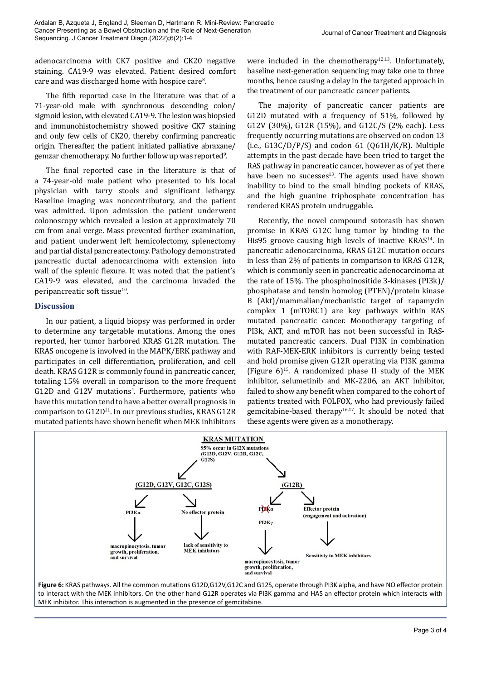adenocarcinoma with CK7 positive and CK20 negative staining. CA19-9 was elevated. Patient desired comfort care and was discharged home with hospice care<sup>8</sup>.

The fifth reported case in the literature was that of a 71-year-old male with synchronous descending colon/ sigmoid lesion, with elevated CA19-9. The lesion was biopsied and immunohistochemistry showed positive CK7 staining and only few cells of CK20, thereby confirming pancreatic origin. Thereafter, the patient initiated palliative abraxane/ gemzar chemotherapy. No further follow up was reported<sup>9</sup>.

The final reported case in the literature is that of a 74-year-old male patient who presented to his local physician with tarry stools and significant lethargy. Baseline imaging was noncontributory, and the patient was admitted. Upon admission the patient underwent colonoscopy which revealed a lesion at approximately 70 cm from anal verge. Mass prevented further examination, and patient underwent left hemicolectomy, splenectomy and partial distal pancreatectomy. Pathology demonstrated pancreatic ductal adenocarcinoma with extension into wall of the splenic flexure. It was noted that the patient's CA19-9 was elevated, and the carcinoma invaded the peripancreatic soft tissue<sup>10</sup>.

# **Discussion**

In our patient, a liquid biopsy was performed in order to determine any targetable mutations. Among the ones reported, her tumor harbored KRAS G12R mutation. The KRAS oncogene is involved in the MAPK/ERK pathway and participates in cell differentiation, proliferation, and cell death. KRAS G12R is commonly found in pancreatic cancer, totaling 15% overall in comparison to the more frequent G12D and G12V mutations<sup>4</sup>. Furthermore, patients who have this mutation tend to have a better overall prognosis in comparison to  $G12D<sup>11</sup>$ . In our previous studies, KRAS  $G12R$ mutated patients have shown benefit when MEK inhibitors

were included in the chemotherapy<sup>12,13</sup>. Unfortunately, baseline next-generation sequencing may take one to three months, hence causing a delay in the targeted approach in the treatment of our pancreatic cancer patients.

The majority of pancreatic cancer patients are G12D mutated with a frequency of 51%, followed by G12V (30%), G12R (15%), and G12C/S (2% each). Less frequently occurring mutations are observed on codon 13 (i.e.,  $G13C/D/P/S$ ) and codon 61 (Q61H/K/R). Multiple attempts in the past decade have been tried to target the RAS pathway in pancreatic cancer, however as of yet there have been no sucesses $13$ . The agents used have shown inability to bind to the small binding pockets of KRAS, and the high guanine triphosphate concentration has rendered KRAS protein undruggable.

Recently, the novel compound sotorasib has shown promise in KRAS G12C lung tumor by binding to the His95 groove causing high levels of inactive KRAS<sup>14</sup>. In pancreatic adenocarcinoma, KRAS G12C mutation occurs in less than 2% of patients in comparison to KRAS G12R, which is commonly seen in pancreatic adenocarcinoma at the rate of 15%. The phosphoinositide 3-kinases (PI3k)/ phosphatase and tensin homolog (PTEN)/protein kinase B (Akt)/mammalian/mechanistic target of rapamycin complex 1 (mTORC1) are key pathways within RAS mutated pancreatic cancer. Monotherapy targeting of PI3k, AKT, and mTOR has not been successful in RASmutated pancreatic cancers. Dual PI3K in combination with RAF-MEK-ERK inhibitors is currently being tested and hold promise given G12R operating via PI3K gamma (Figure  $6$ )<sup>15</sup>. A randomized phase II study of the MEK inhibitor, selumetinib and MK-2206, an AKT inhibitor, failed to show any benefit when compared to the cohort of patients treated with FOLFOX, who had previously failed gemcitabine-based therapy<sup>16,17</sup>. It should be noted that these agents were given as a monotherapy.



to interact with the MEK inhibitors. On the other hand G12R operates via PI3K gamma and HAS an effector protein which interacts with MEK inhibitor. This interaction is augmented in the presence of gemcitabine.